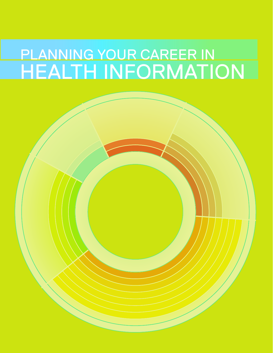# PLANNING YOUR CAREER IN HEALTH INFORMATION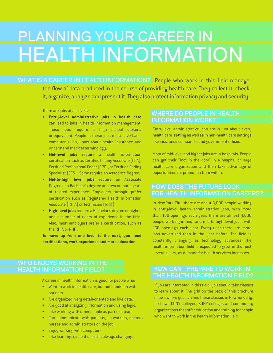# PLANNING YOUR CAREER IN HEALTH INFORMATION

WHAT IS A CAREER IN HEALTH INFORMATION? People who work in this field manage the flow of data produced in the course of providing health care. They collect it, check it, organize, analyze and present it. They also protect information privacy and security.

There are jobs at all levels:

- **• Entry-level administrative jobs in health care** can lead to jobs in health information management. These jobs require a high school diploma or equivalent. People in these jobs must have basic computer skills, know about health insurance and understand medical terminology.
- • **Mid-level jobs** require a health information certification such as Certified Coding Associate (CCA), Certified Professional Coder (CPC), or Certified Coding Specialist (CCS). Some require an Associate Degree.
- • **Mid-to-high level jobs** require an Associate Degree or a Bachelor's degree and two or more years of related experience. Employers strongly prefer certification such as Registered Health Information Associate (RHIA) or Technician (RHIT).
- • **High-level jobs** require a Bachelor's degree or higher, and a number of years of experience in the field. Also, most employers prefer a certification, such as the RHIA or RHIT.

**To move up from one level to the next, you need certifications, work experience and more education**.

# WHO ENJOYS WORKING IN THE HEALTH INFORMATION FIELD?

A career in health information is good for people who:

- • Want to work in health care, but not hands-on with patients.
- • Are organized, very detail-oriented and like data.
- Are good at analyzing information and using logic.
- • Like working with other people as part of a team.
- • Can communicate with patients, co-workers, doctors, nurses and administrators on the job.
- • Enjoy working with computers.
- **Eike learning, since the field is always changing.**

# WHERE DO PEOPLE IN HEALTH INFORMATION WORK?

Entry-level administrative jobs are in just about every health care setting as well as in non-health care settings like insurance companies and government offices.

Most of mid-level and higher jobs are in hospitals. People can get their "foot in the door" in a hospital or large health care organization and then take advantage of opportunities for promotion from within.

# HOW DOES THE FUTURE LOOK FOR HEALTH INFORMATION CAREERS?

In New York City, there are about 3,000 people working in entry-level health administrative jobs, with more than 100 openings each year. There are almost 4,000 people working in mid- and mid-to-high level jobs, with 160 openings each year. Every year there are more jobs advertised than in the year before. The field is constantly changing, as technology advances. The health information field is expected to grow in the next several years, as demand for health services increases.

# HOW CAN I PREPARE TO WORK IN THE HEALTH INFORMATION FIELD?

If you are interested in this field, you should take classes to learn about it. The grid on the back of this brochure shows where you can find these classes in New York City. It shows CUNY colleges, SUNY colleges and community organizations that offer education and training for people who want to work in the health information field.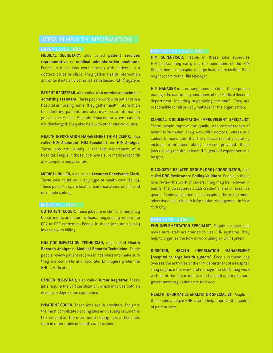# JOBS IN HEALTH INFORMATION

**MEDICAL SECRETARY,** also called **patient services representative** or **medical administrative assistant.** People in these jobs work directly with patients in a doctor's office or clinic. They gather health information and enter it into an Electronic Health Record (EHR) system.

**PATIENT REGISTRAR,** also called **unit service associate** or **admitting assistant**. These people work with patients in a hospital or nursing home. They gather health information for admitting patients and also make sure information gets to the Medical Records department when patients are discharged. They also help with other clerical duties.

**HEALTH INFORMATION MANAGEMENT (HIM) CLERK,** also called **HIM Assistant**, **HIM Specialist** and **HIM Analyst**. These jobs are usually in the HIM department of a hospital. People in these jobs make sure medical records are complete and accurate.

**MEDICAL BILLER,** also called **Accounts Receivable Clerk**. These jobs could be in any type of health care facility. These people prepare health insurance claims or bills and do simple coding.

### **MID-LEVEL JOBS**

**OUTPATIENT CODER.** These jobs are in clinics, Emergency Departments or doctors' offices. They usually require the CCA or CPC credential. People in these jobs are usually involved with billing.

**HIM DOCUMENTATION TECHNICIAN,** also called **Health Records Analyst** or **Medical Records Technician**. These people review patient records in hospitals and make sure they are complete and accurate. Employers prefer the RHIT certification.

**CANCER REGISTRAR,** also called **Tumor Registrar**. These jobs require the CTR certification, which involves both an Associate degree and experience.

**INPATIENT CODER.** These jobs are in hospitals. They are the most complicated coding jobs and usually require the CCS credential. There are more coding jobs in hospitals than in other types of health care facilities.

#### **MID-TO-HIGH LEVEL JOBS**

**HIM SUPERVISOR.** People in these jobs supervise HIM Clerks. They carry out the operations of the HIM Department in a hospital or large health care facility. They might report to the HIM Manager.

**HIM MANAGER** in a nursing home or clinic. These people manage the day-to-day operations of the Medical Records department, including supervising the staff. They are responsible for all privacy matters for the organization.

#### **CLINICAL DOCUMENTATION IMPROVEMENT SPECIALIST.**

These people improve the quality and completeness of health information. They work with doctors, nurses and coders to make sure that the medical record accurately includes information about services provided. These jobs usually require at least 3-5 years of experience in a hospital.

**DIAGNOSTIC RELATED GROUP (DRG) COORDINATOR,** also called **DRG Reviewer** or **Coding Validator**. People in these jobs review the work of coders. They may be involved in audits. The job requires a CCS credential and at least five years of coding experience in a hospital. This is the mostadvertised job in Health Information Management in New York City.

# **HIGH LEVEL JOBS**

**EHR IMPLEMENTATION SPECIALIST.** People in these jobs make sure staff are trained to use EHR systems. They help to organize the flow of work using an EHR system.

**DIRECTOR, HEALTH INFORMATION MANAGEMENT (hospital or large health system).** People in these jobs oversee the activities of the HIM department of a hospital. They organize the work and manage the staff. They work with all of the departments in a hospital and make sure government regulations are followed.

**HEALTH INFORMATICS ANALYST OR SPECIALIST.** People in these jobs analyze EHR data to help improve the quality of patient care.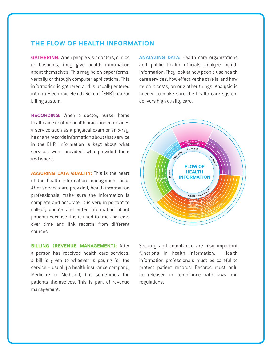# **THE FLOW OF HEALTH INFORMATION**

**GATHERING:**When people visit doctors, clinics or hospitals, they give health information about themselves. This may be on paper forms, verbally or through computer applications. This information is gathered and is usually entered into an Electronic Health Record (EHR) and/or billing system.

**RECORDING:** When a doctor, nurse, home health aide or other health practitioner provides a service such as a physical exam or an x-ray, he or she records information about that service in the EHR. Information is kept about what services were provided, who provided them and where.

**ASSURING DATA QUALITY:** This is the heart of the health information management field. After services are provided, health information professionals make sure the information is complete and accurate. It is very important to collect, update and enter information about patients because this is used to track patients over time and link records from different sources.

**BILLING (REVENUE MANAGEMENT):** After a person has received health care services, a bill is given to whoever is paying for the service – usually a health insurance company, Medicare or Medicaid, but sometimes the patients themselves. This is part of revenue management.

**ANALYZING DATA:** Health care organizations and public health officials analyze health information. They look at how people use health care services, how effective the care is, and how much it costs, among other things. Analysis is needed to make sure the health care system delivers high quality care.



Security and compliance are also important functions in health information. Health information professionals must be careful to protect patient records. Records must only be released in compliance with laws and regulations.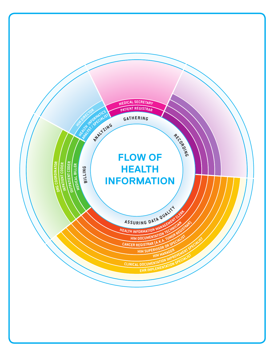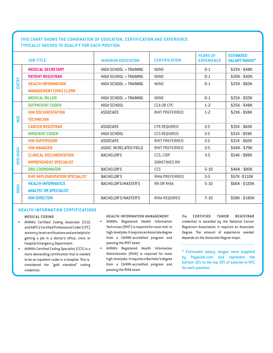# **THIS CHART SHOWS THE COMBINATION OF EDUCATION, CERTIFICATION AND EXPERIENCE TYPICALLY NEEDED TO QUALIFY FOR EACH POSITION.**

| <b>JOB TITLE</b> |                                      | <b>MINIMUM EDUCATION</b> | <b>CERTIFICATION</b>  | <b>YEARS OF</b><br><b>EXPERIENCE</b> | <b>ESTIMATED</b><br><b>SALARY RANGE*</b> |  |
|------------------|--------------------------------------|--------------------------|-----------------------|--------------------------------------|------------------------------------------|--|
| ENTRY            | <b>MEDICAL SECRETARY</b>             | HIGH SCHOOL + TRAINING   | <b>NONE</b>           | $0 - 1$                              | \$25K - \$48K                            |  |
|                  | <b>PATIENT REGISTRAR</b>             | HIGH SCHOOL + TRAINING   | <b>NONE</b>           | $0 - 1$                              | \$20K - \$40K                            |  |
|                  | <b>HEALTH INFORMATION</b>            | HIGH SCHOOL + TRAINING   | <b>NONE</b>           | $0 - 1$                              | \$25K-\$60K                              |  |
|                  | <b>MANAGEMENT (HIM) CLERK</b>        |                          |                       |                                      |                                          |  |
|                  | <b>MEDICAL BILLER</b>                | HIGH SCHOOL + TRAINING   | <b>NONE</b>           | $0 - 1$                              | \$25K - \$50K                            |  |
| $\frac{D}{N}$    | <b>OUTPATIENT CODER</b>              | HIGH SCHOOL              | <b>CCA OR CPC</b>     | $1 - 2$                              | \$25K - \$48K                            |  |
|                  | <b>HIM DOCUMENTATION</b>             | <b>ASSOCIATE</b>         | <b>RHIT PREFERRED</b> | $1 - 2$                              | \$23K - \$58K                            |  |
|                  | <b>TECHNICIAN</b>                    |                          |                       |                                      |                                          |  |
|                  | <b>CANCER REGISTRAR</b>              | <b>ASSOCIATE</b>         | <b>CTR REQUIRED</b>   | $2-3$                                | \$35K - \$60K                            |  |
|                  | <b>INPATIENT CODER</b>               | <b>HIGH SCHOOL</b>       | <b>CCS REQUIRED</b>   | $2-3$                                | \$31K - \$59K                            |  |
| MID-HIGH         | <b>HIM SUPERVISOR</b>                | <b>ASSOCIATE</b>         | <b>RHIT PREFERRED</b> | $2-3$                                | \$31K-\$60K                              |  |
|                  | <b>HIM MANAGER</b>                   | ASSOC. IN RELATED FIELD  | <b>RHIT PREFERRED</b> | $3-5$                                | \$40K - \$79K                            |  |
|                  | <b>CLINICAL DOCUMENTATION</b>        | <b>BACHELOR'S</b>        | CCS, CDIP             | $3-5$                                | \$54K - \$98K                            |  |
|                  | <b>IMPROVEMENT SPECIALIST</b>        |                          | <b>SOMETIMES RN</b>   |                                      |                                          |  |
|                  | <b>DRG COORDINATOR</b>               | <b>BACHELOR'S</b>        | CCS                   | $5 - 10$                             | \$46K - \$90K                            |  |
| <b>HIGH</b>      | <b>EHR IMPLEMENTATION SPECIALIST</b> | <b>BACHELOR'S</b>        | <b>RHIA PREFERRED</b> | $3-5$                                | \$57K-\$110K                             |  |
|                  | <b>HEALTH INFORMATICS</b>            | BACHELOR'S/MASTER'S      | <b>RN OR RHIA</b>     | $5 - 10$                             | \$66K - \$120K                           |  |
|                  | <b>ANALYST OR SPECIALIST</b>         |                          |                       |                                      |                                          |  |
|                  | <b>HIM DIRECTOR</b>                  | BACHELOR'S/MASTER'S      | RHIA REQUIRED         | $7 - 10$                             | \$58K-\$180K                             |  |

### **HEALTH INFORMATION CERTIFICATIONS**

#### **MEDICAL CODING**

- • AHIMA's Certified Coding Associate (CCA) and AAPC's Certified Professional Coder (CPC) areentry-levelcertificationsandarehelpfulin getting a job in a doctor's office, clinic or hospital Emergency Department.
- AHIMA's Certified Coding Specialist (CCS) is a more demanding certification that is needed to be an inpatient coder in a hospital. This is considered the "gold standard" coding credential.

#### **HEALTH INFORMATION MANAGEMENT**

- • AHIMA's Registered Health Information Technician (RHIT) is required for most mid- to high-level jobs.It requires an Associatedegree from a CAHIIM-accredited program and passing the RHIT exam.
- AHIMA's Registered Health Information Administrator (RHIA) is required for most high-leveljobs.ItrequiresaBachelor'sdegree from a CAHIIM-accredited program and passing the RHIA exam.

The **CERTIFIED TUMOR REGISTRAR** credential is awarded by the National Cancer Registrars Association. It requires an Associate Degree. The amount of experience needed depends on the Associate Degree major.

\* Estimated salary ranges were supplied by Payscale.com and represent the bottom 10% to the top 10% of salaries in NYC for each position.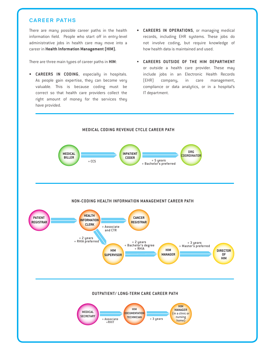# **CAREER PATHS**

There are many possible career paths in the health information field. People who start off in entry-level administrative jobs in health care may move into a career in **Health Information Management (HIM).**

There are three main types of career paths in **HIM**:

- **CAREERS IN CODING**, especially in hospitals. As people gain expertise, they can become very valuable. This is because coding must be correct so that health care providers collect the right amount of money for the services they have provided.
- **• CAREERS IN OPERATIONS**, or managing medical records, including EHR systems. These jobs do not involve coding, but require knowledge of how health data is maintained and used.
- **CAREERS OUTSIDE OF THE HIM DEPARTMENT** or outside a health care provider. These may include jobs in an Electronic Health Records (EHR) company, in care management, compliance or data analytics, or in a hospital's IT department.

**DIRECTOR**

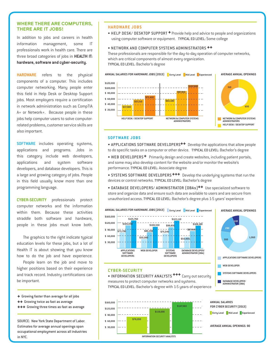## **WHERE THERE ARE COMPUTERS, THERE ARE IT JOBS!**

In addition to jobs and careers in health information management, some professionals work in health care. There are three broad categories of jobs in **HEALTH IT: hardware, software and cyber-security.**

**HARDWARE** refers to the physical components of a computer. This includes computer networking. Many people enter this field in Help Desk or Desktop Support jobs. Most employers require a certification in network administration such as CompTIA A+ or Network+. Because people in these jobs help computer users to solve computerrelated problems, customer service skills are also important.

**SOFTWARE** includes operating systems, applications and programs. Jobs in this category include web developers, applications and system software developers, and database developers. This is a large and growing category of jobs. People in this field usually know more than one programming language.

**CYBER-SECURITY** professionals protect computer networks and the information within them. Because these activities straddle both software and hardware, people in these jobs must know both.

The graphics to the right indicate typical education levels for these jobs, but a lot of Health IT is about showing that you know how to do the job and have experience.

People learn on the job and move to higher positions based on their experience and track record. Industry certifications can be important.

- + Growing faster than average for all jobs
- ++ Growing twice as fast as average
- +++ Growing three times as fast as average

SOURCE: New York State Department of Labor. Estimates for average annual openings span occupational employment across all industries in NYC.

### **HARDWARE JOBS**

• HELP DESK/ DESKTOP SUPPORT <sup>+</sup> Provide help and advice to people and organizations using computer software or equipment. TYPICAL ED LEVEL: Some college

# • NETWORK AND COMPUTER SYSTEMS ADMINISTRATORS ++

These professionals are responsible for the day-to-day operation of computer networks, which are critical components of almost every organization. TYPICAL ED LEVEL: Bachelor's degree



#### **SOFTWARE JOBS**

• APPLICATIONS SOFTWARE DEVELOPERS<sup>++</sup> Develop the applications that allow people to do specific tasks on a computer or other device. TYPICAL ED LEVEL: Bachelor's degree

• WEB DEVELOPERS<sup>+</sup> Primarily design and create websites, including patient portals, and some may also develop content for the website and/or monitor the website's performance. TYPICAL ED LEVEL: Associate degree

• SYSTEMS SOFTWARE DEVELOPERS<sup>+++</sup> Develop the underlying systems that run the devices or control networks. TYPICAL ED LEVEL: Bachelor's degree

• DATABASE DEVELOPERS/ ADMINISTRATOR (DBAs)<sup>++</sup> Use specialized software to store and organize data and ensure such data are available to users and are secure from unauthorized access. TYPICAL ED LEVEL: Bachelor's degree plus 1-5 years' experience



#### **CYBER-SECURITY**

. INFORMATION SECURITY ANALYSTS <sup>+++</sup> Carry out security measures to protect computer networks and systems. TYPICAL ED LEVEL: Bachelor's degree with 1-5 years of experience